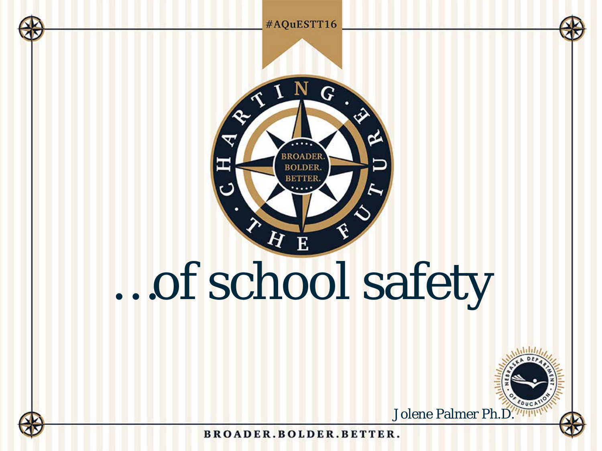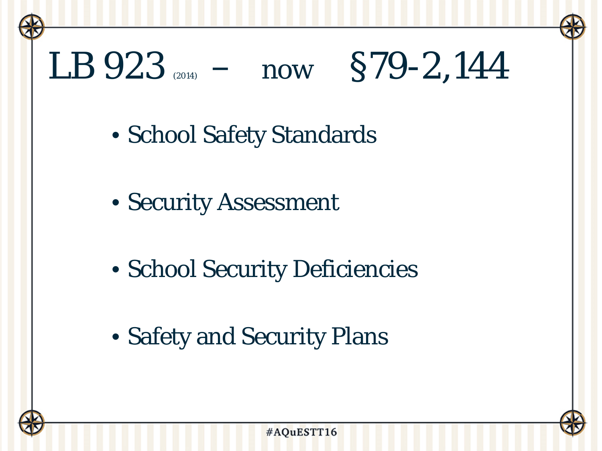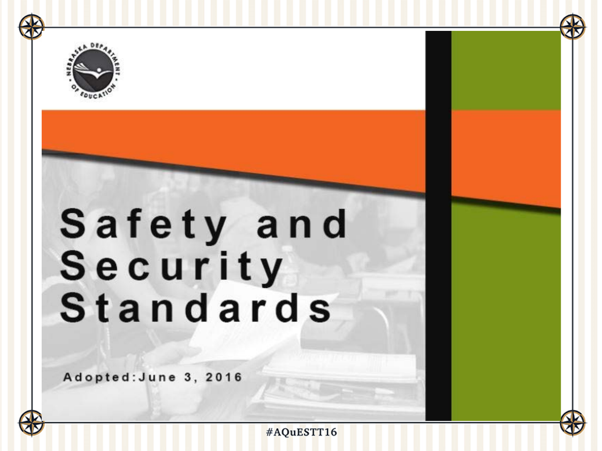

### Safety and Security Standards

Adopted: June 3, 2016





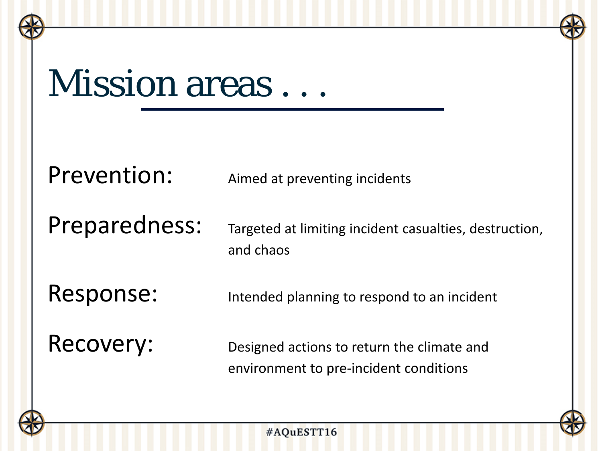### Mission areas...

Prevention: Aimed at preventing incidents

Preparedness: Targeted at limiting incident casualties, destruction, and chaos

Response: Intended planning to respond to an incident

Recovery: Designed actions to return the climate and environment to pre-incident conditions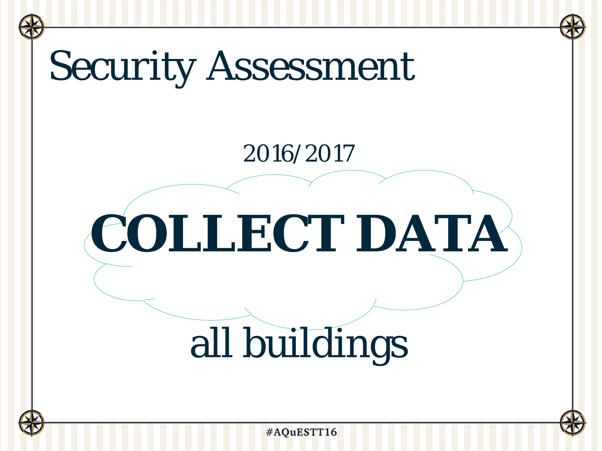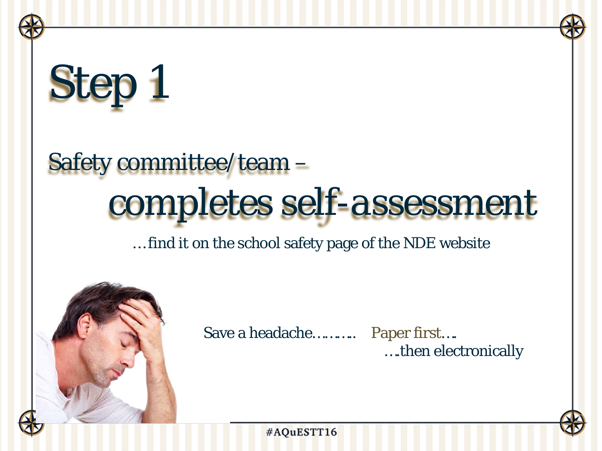# Step 1

### Safety committee/team – *completes self-assessment*

… find it on the school safety page of the NDE website



Save a headache……….. Paper first….

….then electronically

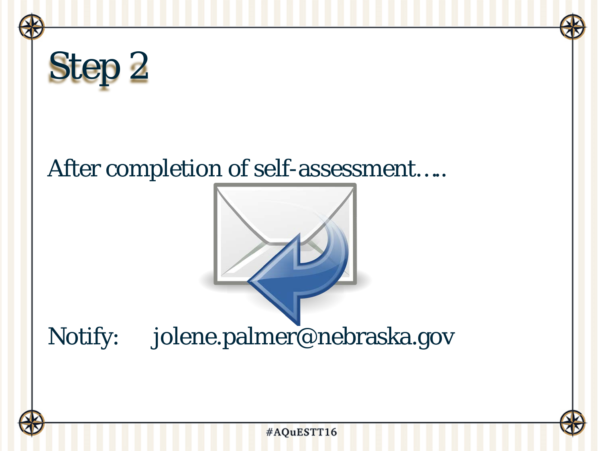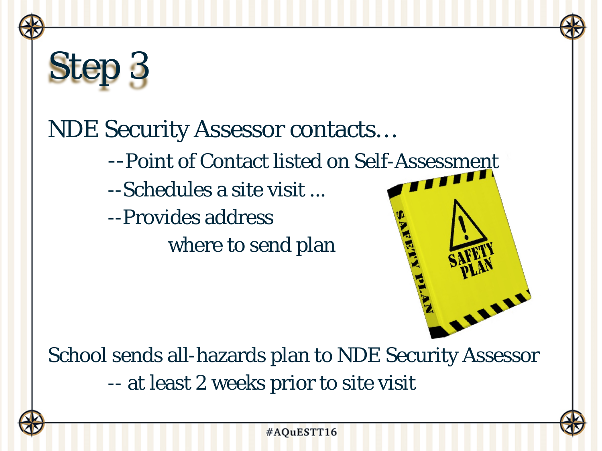

School sends all-hazards plan to NDE Security Assessor -- at least 2 weeks prior to site visit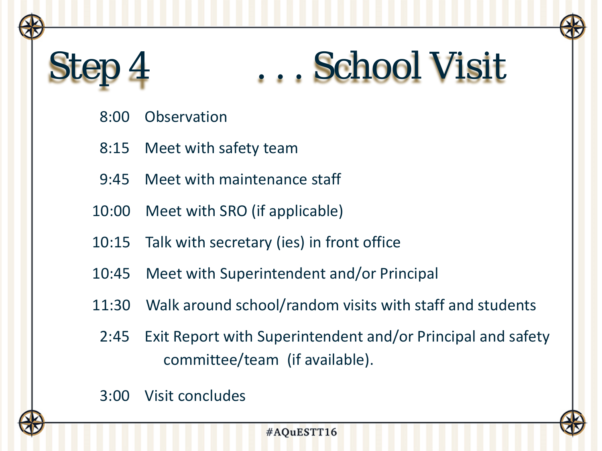### Step 4 . . . . School Visit

- 8:00 Observation
- 8:15 Meet with safety team
- 9:45 Meet with maintenance staff
- 10:00 Meet with SRO (if applicable)
- 10:15 Talk with secretary (ies) in front office
- 10:45 Meet with Superintendent and/or Principal
- 11:30 Walk around school/random visits with staff and students
- 2:45 Exit Report with Superintendent and/or Principal and safety committee/team (if available).
- 3:00 Visit concludes

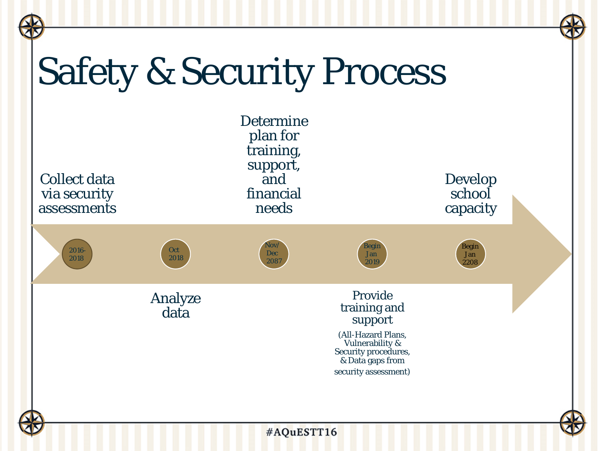### Safety & Security Process

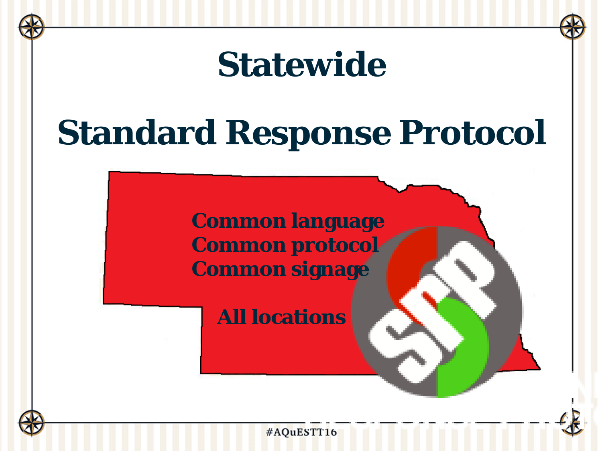# **Statewide Standard Response Protocol Common language Common protocol Common signage All locations**

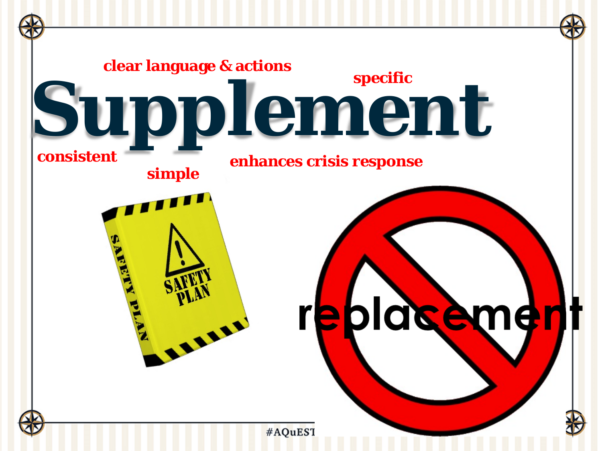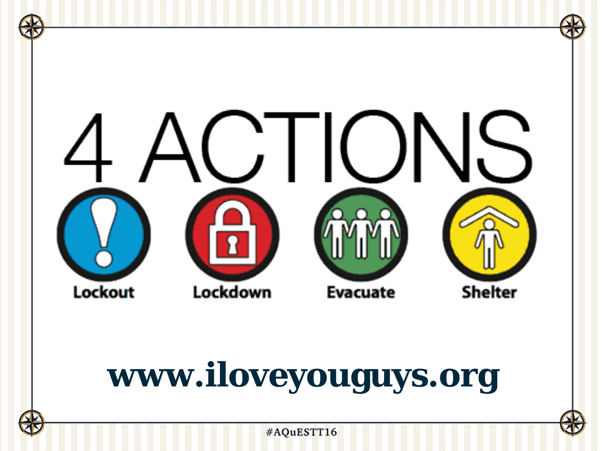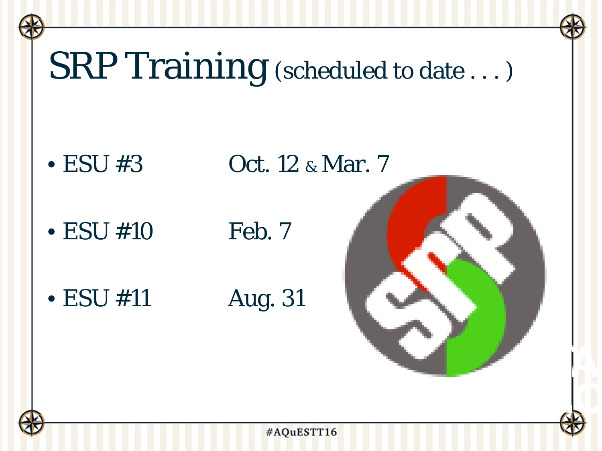### SRP Training (scheduled to date ...)

• ESU #3  $Oct. 12 & Mar. 7$ 

 $\bullet$  ESU #10 Feb. 7

• ESU #11 Aug. 31



#AQuESTT16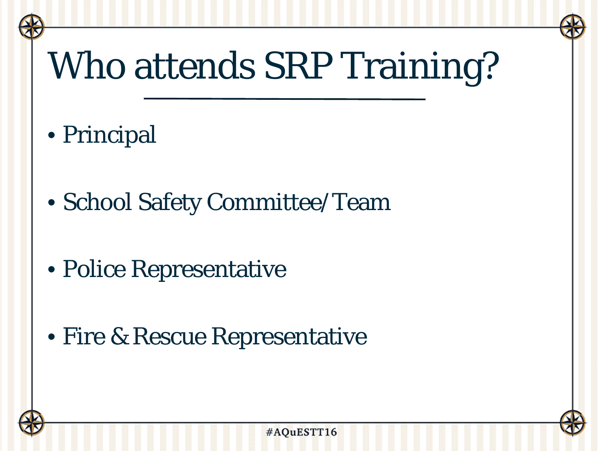### Who attends SRP Training?

- Principal
- School Safety Committee/Team
- Police Representative
- Fire & Rescue Representative

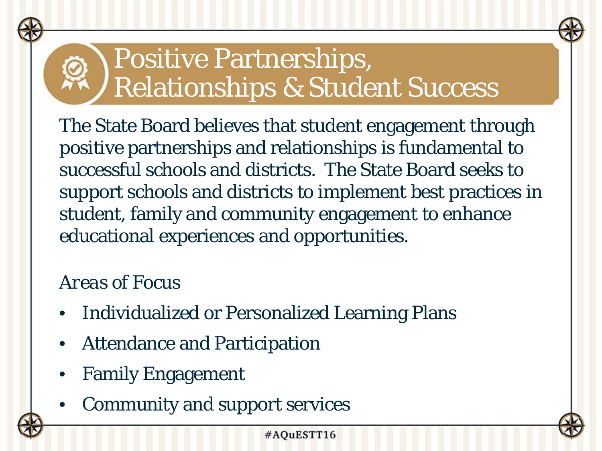### Positive Partnerships, Relationships & Student Success

The State Board believes that student engagement through positive partnerships and relationships is fundamental to successful schools and districts. The State Board seeks to support schools and districts to implement best practices in student, family and community engagement to enhance educational experiences and opportunities.

### *Areas of Focus*

- Individualized or Personalized Learning Plans
- Attendance and Participation
- Family Engagement
- Community and support services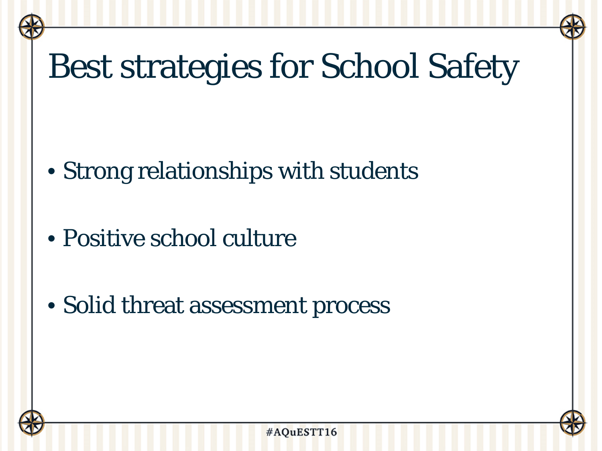### Best strategies for School Safety

- Strong relationships with students
- Positive school culture
- Solid threat assessment process

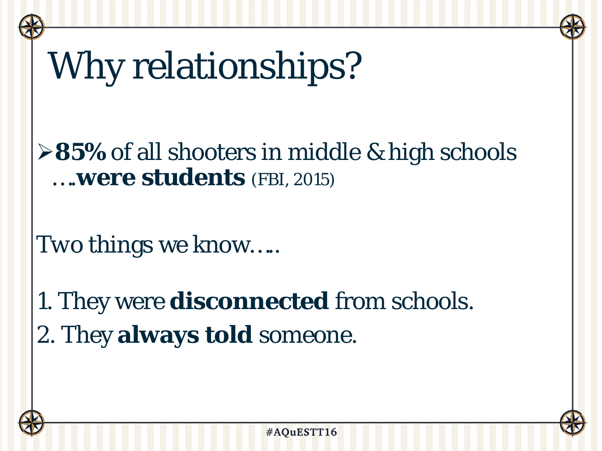## Why relationships?

**≻85%** of all shooters in middle & high schools ….**were students** (FBI, 2015)

*Two* things we know…..

*1.* They were **disconnected** from schools. *2.* They **always told** someone.

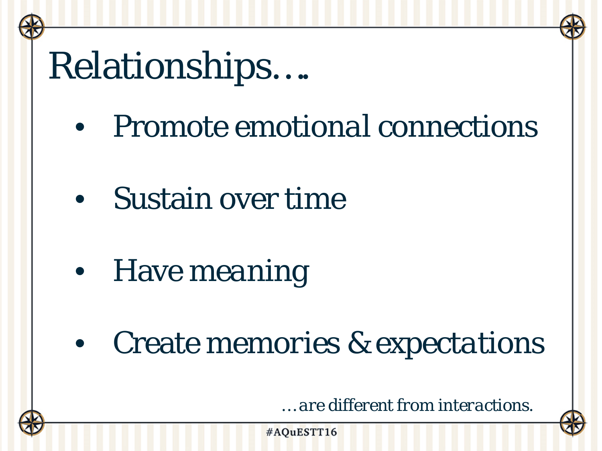### Relationships….

- Promote *emotional connections*
- Sustain over *time*
- Have *meaning*
- Create *memories & expectations*

*… are different from interactions.*

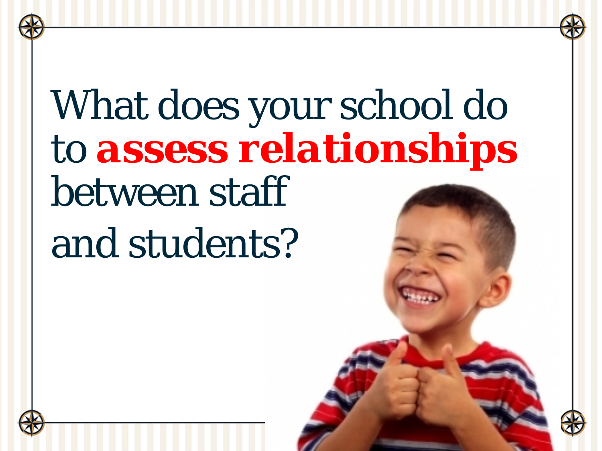## What does your school do to *assess relationships*  between staff and students?

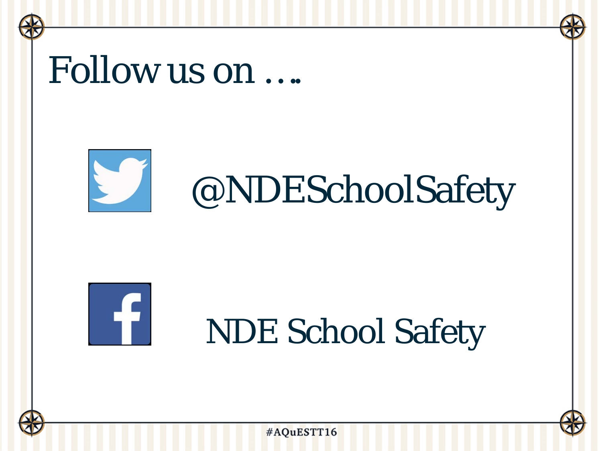### Follow us on ….



### @NDESchoolSafety



### NDE School Safety



#AQuESTT16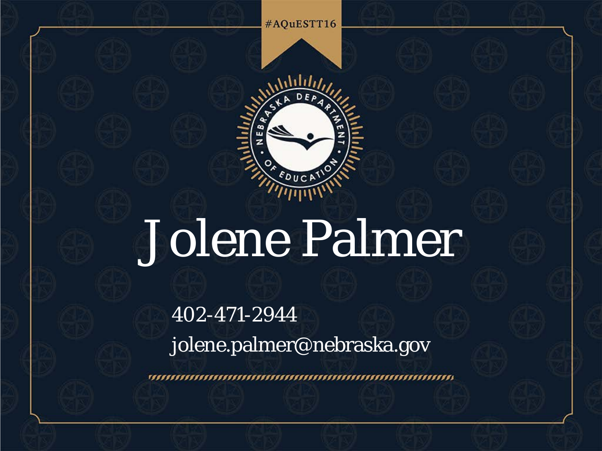#AQuESTT16



## Jolene Palmer

402-471-2944 jolene.palmer@nebraska.gov